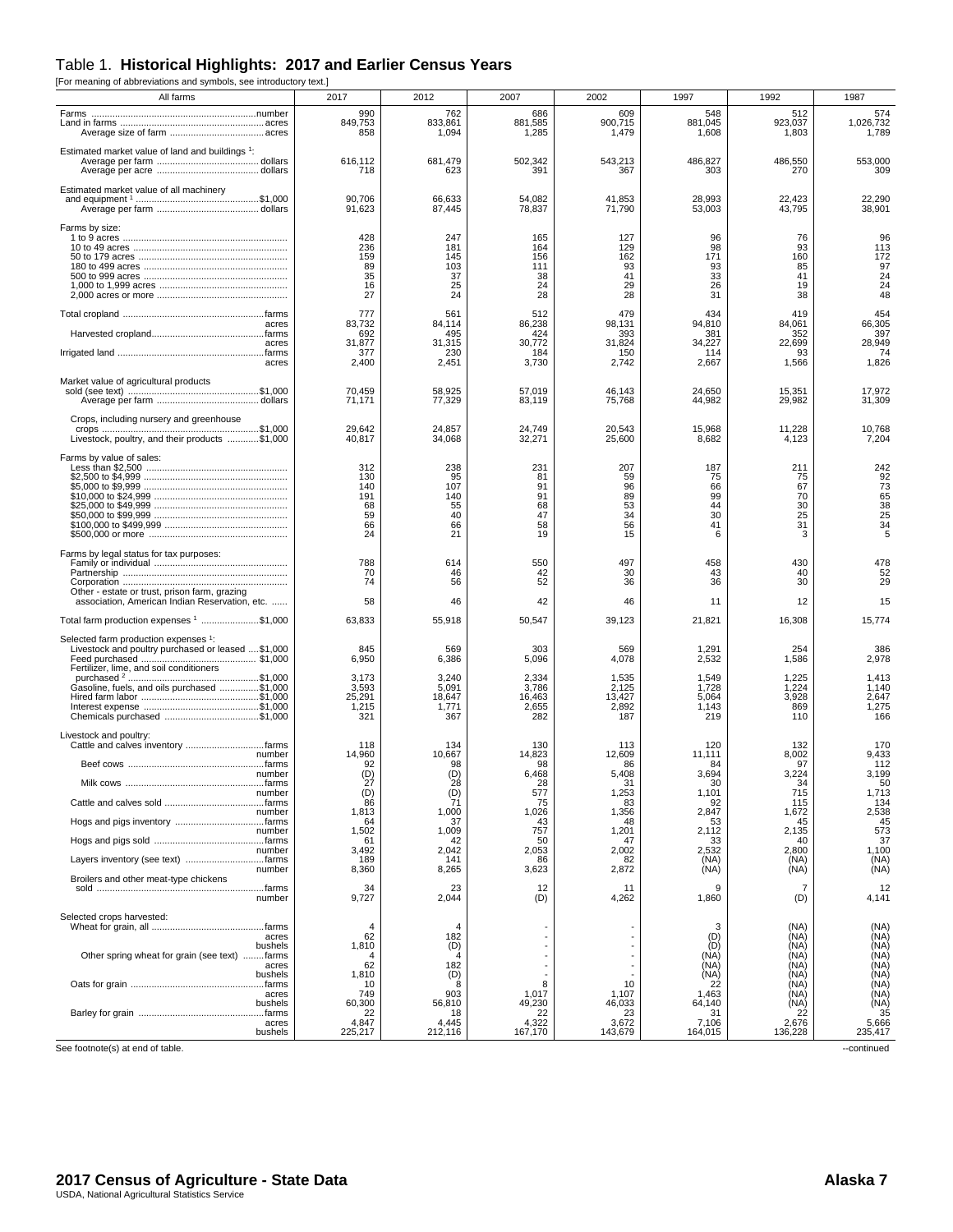## Table 1. **Historical Highlights: 2017 and Earlier Census Years**

[For meaning of abbreviations and symbols, see introductory text.]

| All farms                                                                                       | 2017                                             | 2012                                            | 2007                                          | 2002                                          | 1997                                         | 1992                                         | 1987                                               |
|-------------------------------------------------------------------------------------------------|--------------------------------------------------|-------------------------------------------------|-----------------------------------------------|-----------------------------------------------|----------------------------------------------|----------------------------------------------|----------------------------------------------------|
|                                                                                                 | 990<br>849,753<br>858                            | 762<br>833,861<br>1,094                         | 686<br>881,585<br>1,285                       | 609<br>900,715<br>1,479                       | 548<br>881,045<br>1,608                      | 512<br>923,037<br>1,803                      | 574<br>1,026,732<br>1,789                          |
| Estimated market value of land and buildings <sup>1</sup> :                                     | 616,112<br>718                                   | 681,479<br>623                                  | 502,342<br>391                                | 543,213<br>367                                | 486,827<br>303                               | 486,550<br>270                               | 553,000<br>309                                     |
| Estimated market value of all machinery                                                         | 90,706<br>91,623                                 | 66,633<br>87,445                                | 54,082<br>78,837                              | 41,853<br>71,790                              | 28,993<br>53,003                             | 22,423<br>43,795                             | 22,290<br>38,901                                   |
| Farms by size:                                                                                  | 428<br>236<br>159<br>89<br>35<br>16<br>27        | 247<br>181<br>145<br>103<br>37<br>25<br>24      | 165<br>164<br>156<br>111<br>38<br>24<br>28    | 127<br>129<br>162<br>93<br>41<br>29<br>28     | 96<br>98<br>171<br>93<br>33<br>26<br>31      | 76<br>93<br>160<br>85<br>41<br>19<br>38      | 96<br>113<br>172<br>97<br>$\frac{24}{24}$<br>48    |
| acres                                                                                           | 777<br>83,732                                    | 561<br>84.114                                   | 512<br>86,238                                 | 479<br>98.131                                 | 434<br>94,810                                | 419<br>84,061                                | 454<br>66,305                                      |
| acres                                                                                           | 692<br>31,877                                    | 495<br>31,315                                   | 424<br>30,772                                 | 393<br>31,824                                 | 381<br>34,227                                | 352<br>22,699                                | 397<br>28,949                                      |
| acres                                                                                           | 377<br>2,400                                     | 230<br>2,451                                    | 184<br>3,730                                  | 150<br>2,742                                  | 114<br>2,667                                 | 93<br>1,566                                  | 74<br>1,826                                        |
| Market value of agricultural products                                                           | 70,459<br>71,171                                 | 58,925<br>77,329                                | 57,019<br>83,119                              | 46,143<br>75,768                              | 24,650<br>44,982                             | 15,351<br>29,982                             | 17,972<br>31,309                                   |
| Crops, including nursery and greenhouse<br>Livestock, poultry, and their products \$1,000       | 29,642<br>40,817                                 | 24,857<br>34,068                                | 24,749<br>32,271                              | 20,543<br>25,600                              | 15,968<br>8,682                              | 11,228<br>4,123                              | 10,768<br>7,204                                    |
| Farms by value of sales:                                                                        | 312<br>130<br>140<br>191<br>68<br>59<br>66<br>24 | 238<br>95<br>107<br>140<br>55<br>40<br>66<br>21 | 231<br>81<br>91<br>91<br>68<br>47<br>58<br>19 | 207<br>59<br>96<br>89<br>53<br>34<br>56<br>15 | 187<br>75<br>66<br>99<br>44<br>30<br>41<br>6 | 211<br>75<br>67<br>70<br>30<br>25<br>31<br>3 | 242<br>92<br>73<br>65<br>38<br>25<br>25<br>34<br>5 |
| Farms by legal status for tax purposes:                                                         | 788<br>70<br>74                                  | 614<br>46<br>56                                 | 550<br>42<br>52                               | 497<br>30<br>36                               | 458<br>43<br>36                              | 430<br>40<br>30                              | 478<br>52<br>29                                    |
| Other - estate or trust, prison farm, grazing<br>association, American Indian Reservation, etc. | 58                                               | 46                                              | 42                                            | 46                                            | 11                                           | 12                                           | 15                                                 |
| Total farm production expenses 1 \$1,000                                                        | 63,833                                           | 55,918                                          | 50,547                                        | 39,123                                        | 21,821                                       | 16,308                                       | 15,774                                             |
| Selected farm production expenses 1:                                                            |                                                  |                                                 |                                               |                                               |                                              |                                              |                                                    |
| Livestock and poultry purchased or leased \$1,000<br>Fertilizer, lime, and soil conditioners    | 845<br>6,950                                     | 569<br>6,386                                    | 303<br>5,096                                  | 569<br>4,078                                  | 1,291<br>2,532                               | 254<br>1,586                                 | 386<br>2,978                                       |
| Gasoline, fuels, and oils purchased \$1,000                                                     | 3,173<br>3,593                                   | 3,240<br>5,091                                  | 2,334<br>3,786                                | 1,535<br>2,125                                | 1,549<br>1,728                               | 1,225<br>1,224                               | 1,413<br>1,140                                     |
|                                                                                                 | 25,291<br>1,215                                  | 18,647<br>1,771                                 | 16,463<br>2,655                               | 13,427<br>2,892                               | 5,064<br>1,143                               | 3,928<br>869                                 | 2,647<br>1,275                                     |
| Chemicals purchased \$1,000                                                                     | 321                                              | 367                                             | 282                                           | 187                                           | 219                                          | 110                                          | 166                                                |
| Livestock and poultry:                                                                          | 118                                              | 134                                             | 130                                           | 113                                           | 120                                          | 132                                          | 170                                                |
| number                                                                                          | 14,960<br>92                                     | 10,667<br>98                                    | 14,823<br>98                                  | 12,609<br>86                                  | 11,111<br>84                                 | 8,002<br>97                                  | 9,433<br>112                                       |
| number                                                                                          | (D)<br>27                                        | (D)<br>28                                       | 6,468<br>28                                   | 5,408<br>31                                   | 3,694<br>30                                  | 3,224<br>34                                  | 3,199<br>50                                        |
| number                                                                                          | (D)<br>86                                        | $\binom{D}{71}$                                 | 577<br>75                                     | 1,253<br>83                                   | 1,101<br>92                                  | 715<br>115                                   | 1,713<br>134                                       |
| number                                                                                          | 1,813<br>64                                      | 1,000<br>37                                     | 1,026<br>43                                   | 1,356<br>48                                   | 2,847<br>53                                  | 1,672<br>45                                  | 2,538<br>45                                        |
| number                                                                                          | 1,502                                            | 1,009                                           | 757                                           | 1,201                                         | 2,112                                        | 2,135                                        | 573                                                |
| number                                                                                          | 61<br>3,492                                      | 42<br>2,042                                     | 50<br>2,053                                   | 47<br>2,002                                   | 33<br>2,532                                  | 40<br>2,800                                  | 37<br>1,100                                        |
| Layers inventory (see text) farms<br>number                                                     | 189<br>8,360                                     | 141<br>8,265                                    | 86<br>3,623                                   | 82<br>2,872                                   | (NA)<br>(NA)                                 | (NA)<br>(NA)                                 | (NA)<br>(NA)                                       |
| Broilers and other meat-type chickens<br>number                                                 | 34<br>9,727                                      | 23<br>2,044                                     | 12<br>(D)                                     | 11<br>4,262                                   | 9<br>1,860                                   | 7<br>(D)                                     | 12<br>4,141                                        |
| Selected crops harvested:                                                                       | 4                                                | 4                                               |                                               |                                               |                                              |                                              |                                                    |
| acres                                                                                           | 62                                               | 182                                             |                                               |                                               | 3<br>(D)                                     | (NA)<br>(NA)                                 | (NA)<br>(NA)                                       |
| bushels<br>Other spring wheat for grain (see text) farms                                        | 1,810                                            | (D)<br>4                                        |                                               |                                               | (D)<br>(NA)                                  | (NA)<br>(NA)                                 | (NA)<br>(NA)                                       |
| acres<br>bushels                                                                                | 62<br>1,810                                      | 182<br>(D)                                      |                                               |                                               | (NA)<br>(NA)                                 | (NA)<br>(NA)                                 | (NA)<br>(NA)                                       |
| acres                                                                                           | 10<br>749                                        | 8<br>903                                        | 8<br>1,017                                    | 10<br>1,107                                   | 22<br>1,463                                  | (NA)<br>(NA)                                 | (NA)<br>(NA)                                       |
| bushels                                                                                         | 60,300<br>22                                     | 56,810<br>18                                    | 49,230<br>22                                  | 46,033<br>23                                  | 64,140<br>31                                 | (NA)<br>22                                   | (NA)<br>35                                         |
| acres<br>bushels                                                                                | 4,847<br>225,217                                 | 4,445<br>212,116                                | 4,322<br>167,170                              | 3,672<br>143,679                              | 7,106<br>164,015                             | 2,676<br>136,228                             | 5,666<br>235,417                                   |
| See footnote(s) at end of table.                                                                |                                                  |                                                 |                                               |                                               |                                              |                                              | --continued                                        |